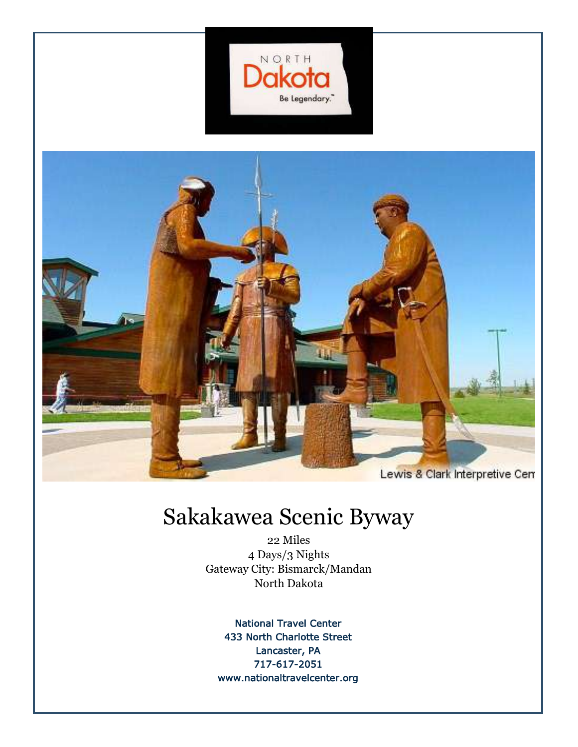



### Sakakawea Scenic Byway

22 Miles 4 Days/3 Nights Gateway City: Bismarck/Mandan North Dakota

National Travel Center 433 North Charlotte Street Lancaster, PA 717-617-2051 www.nationaltravelcenter.org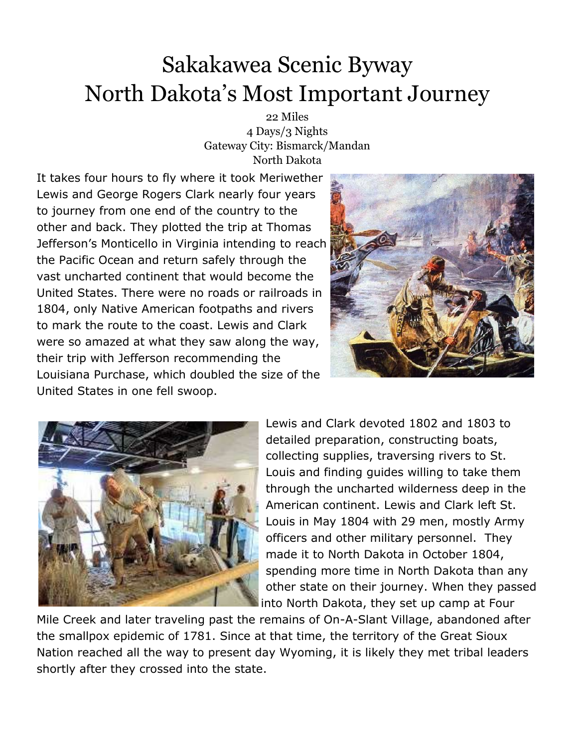22 Miles 4 Days/3 Nights Gateway City: Bismarck/Mandan North Dakota

It takes four hours to fly where it took Meriwether Lewis and George Rogers Clark nearly four years to journey from one end of the country to the other and back. They plotted the trip at Thomas Jefferson's Monticello in Virginia intending to reach the Pacific Ocean and return safely through the vast uncharted continent that would become the United States. There were no roads or railroads in 1804, only Native American footpaths and rivers to mark the route to the coast. Lewis and Clark were so amazed at what they saw along the way, their trip with Jefferson recommending the Louisiana Purchase, which doubled the size of the United States in one fell swoop.





Lewis and Clark devoted 1802 and 1803 to detailed preparation, constructing boats, collecting supplies, traversing rivers to St. Louis and finding guides willing to take them through the uncharted wilderness deep in the American continent. Lewis and Clark left St. Louis in May 1804 with 29 men, mostly Army officers and other military personnel. They made it to North Dakota in October 1804, spending more time in North Dakota than any other state on their journey. When they passed into North Dakota, they set up camp at Four

Mile Creek and later traveling past the remains of On-A-Slant Village, abandoned after the smallpox epidemic of 1781. Since at that time, the territory of the Great Sioux Nation reached all the way to present day Wyoming, it is likely they met tribal leaders shortly after they crossed into the state.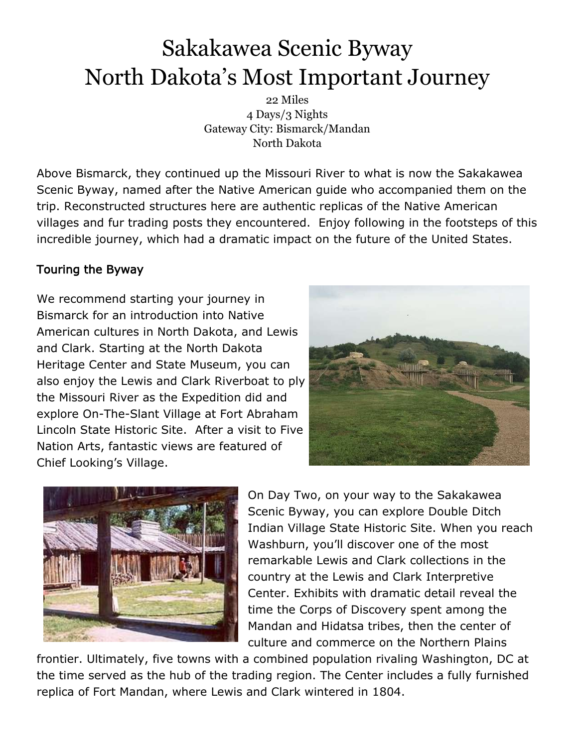22 Miles 4 Days/3 Nights Gateway City: Bismarck/Mandan North Dakota

Above Bismarck, they continued up the Missouri River to what is now the Sakakawea Scenic Byway, named after the Native American guide who accompanied them on the trip. Reconstructed structures here are authentic replicas of the Native American villages and fur trading posts they encountered. Enjoy following in the footsteps of this incredible journey, which had a dramatic impact on the future of the United States.

### Touring the Byway

We recommend starting your journey in Bismarck for an introduction into Native American cultures in North Dakota, and Lewis and Clark. Starting at the North Dakota Heritage Center and State Museum, you can also enjoy the Lewis and Clark Riverboat to ply the Missouri River as the Expedition did and explore On-The-Slant Village at Fort Abraham Lincoln State Historic Site. After a visit to Five Nation Arts, fantastic views are featured of Chief Looking's Village.





On Day Two, on your way to the Sakakawea Scenic Byway, you can explore Double Ditch Indian Village State Historic Site. When you reach Washburn, you'll discover one of the most remarkable Lewis and Clark collections in the country at the Lewis and Clark Interpretive Center. Exhibits with dramatic detail reveal the time the Corps of Discovery spent among the Mandan and Hidatsa tribes, then the center of culture and commerce on the Northern Plains

frontier. Ultimately, five towns with a combined population rivaling Washington, DC at the time served as the hub of the trading region. The Center includes a fully furnished replica of Fort Mandan, where Lewis and Clark wintered in 1804.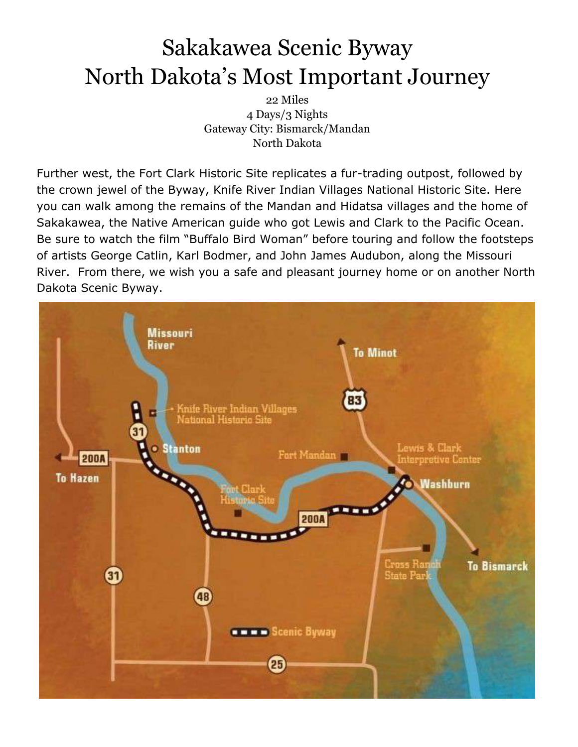22 Miles 4 Days/3 Nights Gateway City: Bismarck/Mandan North Dakota

Further west, the Fort Clark Historic Site replicates a fur-trading outpost, followed by the crown jewel of the Byway, Knife River Indian Villages National Historic Site. Here you can walk among the remains of the Mandan and Hidatsa villages and the home of Sakakawea, the Native American guide who got Lewis and Clark to the Pacific Ocean. Be sure to watch the film "Buffalo Bird Woman" before touring and follow the footsteps of artists George Catlin, Karl Bodmer, and John James Audubon, along the Missouri River. From there, we wish you a safe and pleasant journey home or on another North Dakota Scenic Byway.

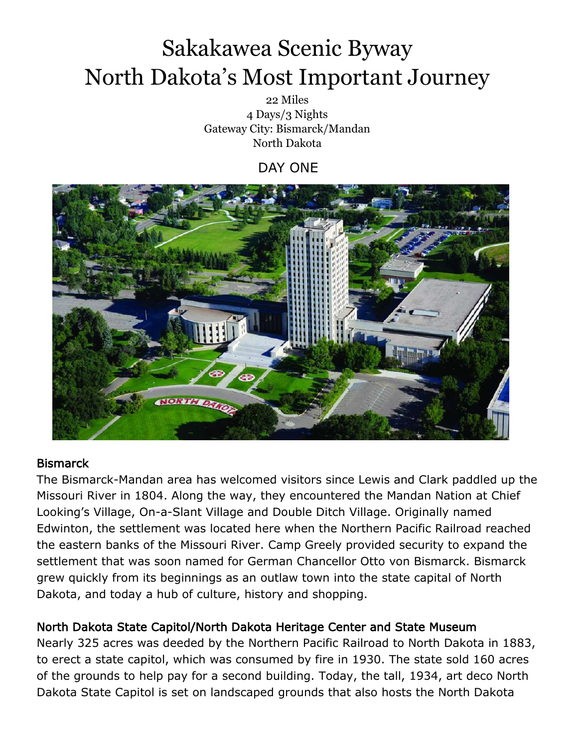22 Miles 4 Days/3 Nights Gateway City: Bismarck/Mandan North Dakota

DAY ONE



#### **Bismarck**

The Bismarck-Mandan area has welcomed visitors since Lewis and Clark paddled up the Missouri River in 1804. Along the way, they encountered the Mandan Nation at Chief Looking's Village, On-a-Slant Village and Double Ditch Village. Originally named Edwinton, the settlement was located here when the Northern Pacific Railroad reached the eastern banks of the Missouri River. Camp Greely provided security to expand the settlement that was soon named for German Chancellor Otto von Bismarck. Bismarck grew quickly from its beginnings as an outlaw town into the state capital of North Dakota, and today a hub of culture, history and shopping.

#### North Dakota State Capitol/North Dakota Heritage Center and State Museum

Nearly 325 acres was deeded by the Northern Pacific Railroad to North Dakota in 1883, to erect a state capitol, which was consumed by fire in 1930. The state sold 160 acres of the grounds to help pay for a second building. Today, the tall, 1934, art deco North Dakota State Capitol is set on landscaped grounds that also hosts the North Dakota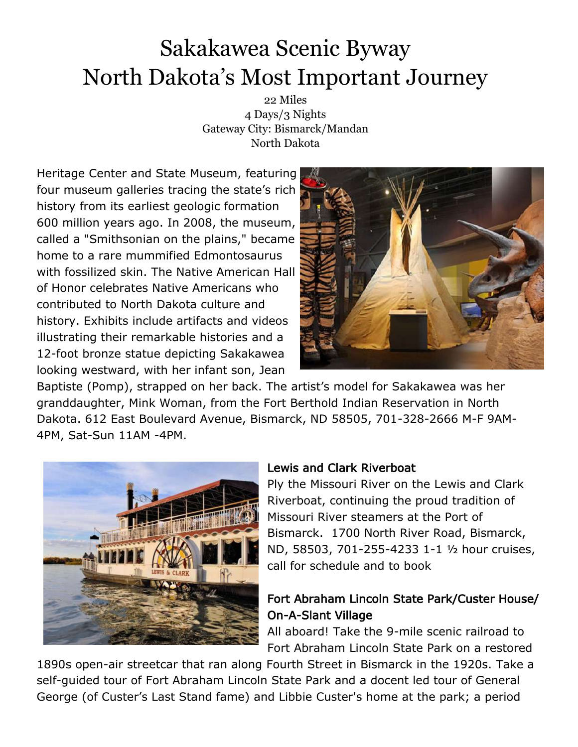22 Miles 4 Days/3 Nights Gateway City: Bismarck/Mandan North Dakota

Heritage Center and State Museum, featuring four museum galleries tracing the state's rich history from its earliest geologic formation 600 million years ago. In 2008, the museum, called a "Smithsonian on the plains," became home to a rare mummified Edmontosaurus with fossilized skin. The Native American Hall of Honor celebrates Native Americans who contributed to North Dakota culture and history. Exhibits include artifacts and videos illustrating their remarkable histories and a 12-foot bronze statue depicting Sakakawea looking westward, with her infant son, Jean



Baptiste (Pomp), strapped on her back. The artist's model for Sakakawea was her granddaughter, Mink Woman, from the Fort Berthold Indian Reservation in North Dakota. 612 East Boulevard Avenue, Bismarck, ND 58505, 701-328-2666 M-F 9AM-4PM, Sat-Sun 11AM -4PM.



#### Lewis and Clark Riverboat

Ply the Missouri River on the Lewis and Clark Riverboat, continuing the proud tradition of Missouri River steamers at the Port of Bismarck. 1700 North River Road, Bismarck, ND, 58503, 701-255-4233 1-1 ½ hour cruises, call for schedule and to book

### Fort Abraham Lincoln State Park/Custer House/ On-A-Slant Village

All aboard! Take the 9-mile scenic railroad to Fort Abraham Lincoln State Park on a restored

1890s open-air streetcar that ran along Fourth Street in Bismarck in the 1920s. Take a self-guided tour of Fort Abraham Lincoln State Park and a docent led tour of General George (of Custer's Last Stand fame) and Libbie Custer's home at the park; a period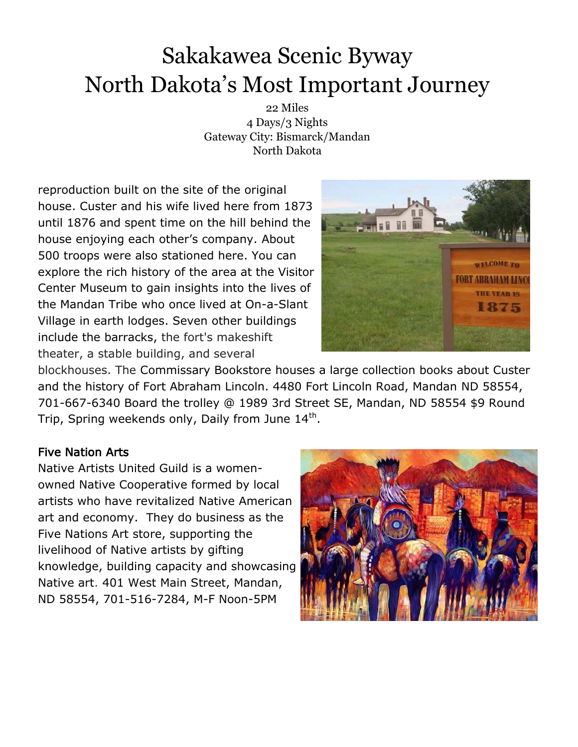22 Miles 4 Days/3 Nights Gateway City: Bismarck/Mandan North Dakota

reproduction built on the site of the original house. Custer and his wife lived here from 1873 until 1876 and spent time on the hill behind the house enjoying each other's company. About 500 troops were also stationed here. You can explore the rich history of the area at the Visitor Center Museum to gain insights into the lives of the Mandan Tribe who once lived at On-a-Slant Village in earth lodges. Seven other buildings include the barracks, the fort's makeshift theater, a stable building, and several



blockhouses. The Commissary Bookstore houses a large collection books about Custer and the history of Fort Abraham Lincoln. 4480 Fort Lincoln Road, Mandan ND 58554, 701-667-6340 Board the trolley @ 1989 3rd Street SE, Mandan, ND 58554 \$9 Round Trip, Spring weekends only, Daily from June 14<sup>th</sup>.

#### Five Nation Arts

Native Artists United Guild is a womenowned Native Cooperative formed by local artists who have revitalized Native American art and economy. They do business as the Five Nations Art store, supporting the livelihood of Native artists by gifting knowledge, building capacity and showcasing Native art. 401 West Main Street, Mandan, ND 58554, 701-516-7284, M-F Noon-5PM

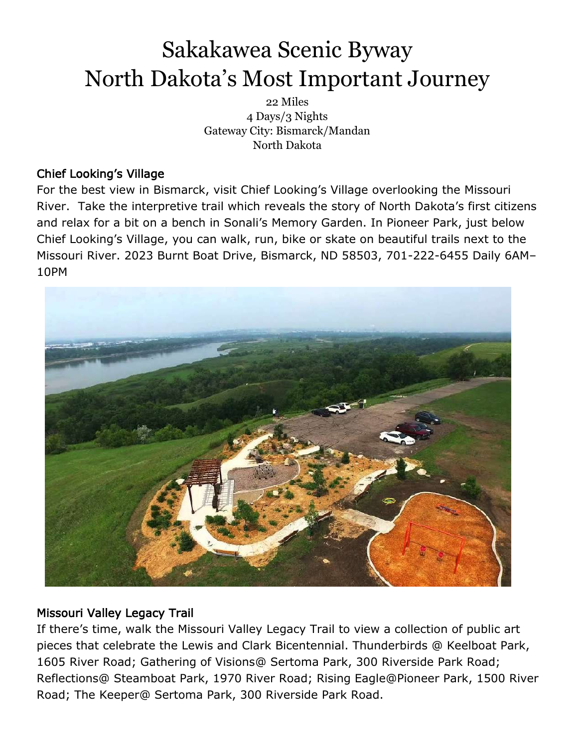22 Miles 4 Days/3 Nights Gateway City: Bismarck/Mandan North Dakota

### Chief Looking's Village

For the best view in Bismarck, visit Chief Looking's Village overlooking the Missouri River. Take the interpretive trail which reveals the story of North Dakota's first citizens and relax for a bit on a bench in Sonali's Memory Garden. In Pioneer Park, just below Chief Looking's Village, you can walk, run, bike or skate on beautiful trails next to the Missouri River. 2023 Burnt Boat Drive, Bismarck, ND 58503, 701-222-6455 Daily 6AM– 10PM



### Missouri Valley Legacy Trail

If there's time, walk the Missouri Valley Legacy Trail to view a collection of public art pieces that celebrate the Lewis and Clark Bicentennial. Thunderbirds @ Keelboat Park, 1605 River Road; Gathering of Visions@ Sertoma Park, 300 Riverside Park Road; Reflections@ Steamboat Park, 1970 River Road; Rising Eagle@Pioneer Park, 1500 River Road; The Keeper@ Sertoma Park, 300 Riverside Park Road.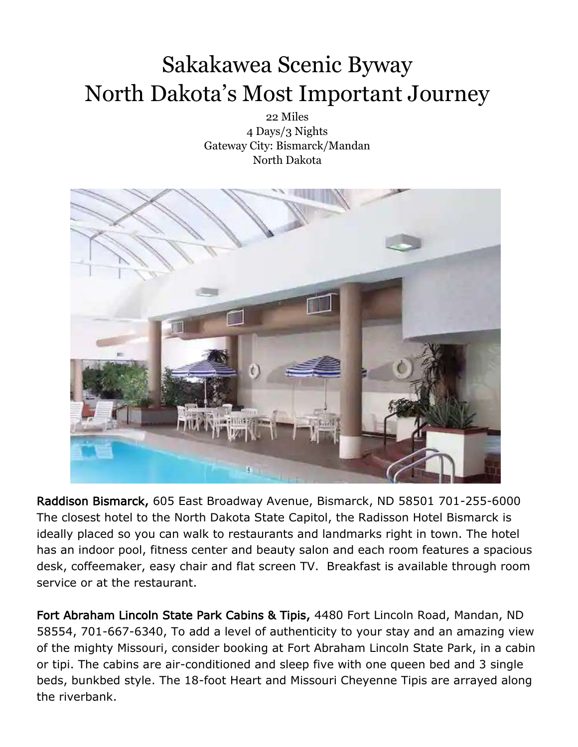22 Miles 4 Days/3 Nights Gateway City: Bismarck/Mandan North Dakota



Raddison Bismarck, 605 East Broadway Avenue, Bismarck, ND 58501 701-255-6000 The closest hotel to the North Dakota State Capitol, the Radisson Hotel Bismarck is ideally placed so you can walk to restaurants and landmarks right in town. The hotel has an indoor pool, fitness center and beauty salon and each room features a spacious desk, coffeemaker, easy chair and flat screen TV. Breakfast is available through room service or at the restaurant.

Fort Abraham Lincoln State Park Cabins & Tipis, 4480 Fort Lincoln Road, Mandan, ND 58554, 701-667-6340, To add a level of authenticity to your stay and an amazing view of the mighty Missouri, consider booking at Fort Abraham Lincoln State Park, in a cabin or tipi. The cabins are air-conditioned and sleep five with one queen bed and 3 single beds, bunkbed style. The 18-foot Heart and Missouri Cheyenne Tipis are arrayed along the riverbank.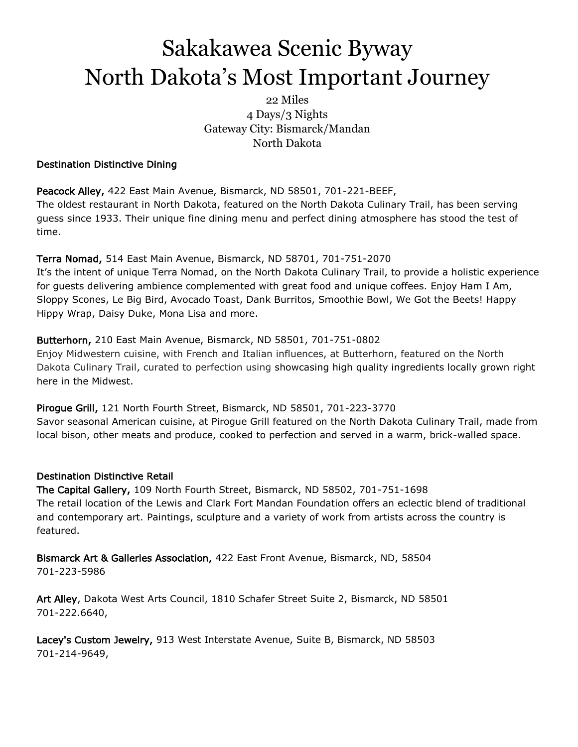22 Miles 4 Days/3 Nights Gateway City: Bismarck/Mandan North Dakota

#### Destination Distinctive Dining

Peacock Alley, 422 East Main Avenue, Bismarck, ND 58501, 701-221-BEEF, The oldest restaurant in North Dakota, featured on the North Dakota Culinary Trail, has been serving guess since 1933. Their unique fine dining menu and perfect dining atmosphere has stood the test of time.

#### Terra Nomad, 514 East Main Avenue, Bismarck, ND 58701, 701-751-2070

It's the intent of unique Terra Nomad, on the North Dakota Culinary Trail, to provide a holistic experience for guests delivering ambience complemented with great food and unique coffees. Enjoy Ham I Am, Sloppy Scones, Le Big Bird, Avocado Toast, Dank Burritos, Smoothie Bowl, We Got the Beets! Happy Hippy Wrap, Daisy Duke, Mona Lisa and more.

#### Butterhorn, 210 East Main Avenue, Bismarck, ND 58501, 701-751-0802

Enjoy Midwestern cuisine, with French and Italian influences, at Butterhorn, featured on the North Dakota Culinary Trail, curated to perfection using showcasing high quality ingredients locally grown right here in the Midwest.

Pirogue Grill, 121 North Fourth Street, Bismarck, ND 58501, 701-223-3770 Savor seasonal American cuisine, at Pirogue Grill featured on the North Dakota Culinary Trail, made from local bison, other meats and produce, cooked to perfection and served in a warm, brick-walled space.

#### Destination Distinctive Retail

The Capital Gallery, 109 North Fourth Street, Bismarck, ND 58502, 701-751-1698 The retail location of the Lewis and Clark Fort Mandan Foundation offers an eclectic blend of traditional and contemporary art. Paintings, sculpture and a variety of work from artists across the country is featured.

Bismarck Art & Galleries Association, 422 East Front Avenue, Bismarck, ND, 58504 701-223-5986

Art Alley, Dakota West Arts Council, 1810 Schafer Street Suite 2, Bismarck, ND 58501 701-222.6640,

Lacey's Custom Jewelry, 913 West Interstate Avenue, Suite B, Bismarck, ND 58503 701-214-9649,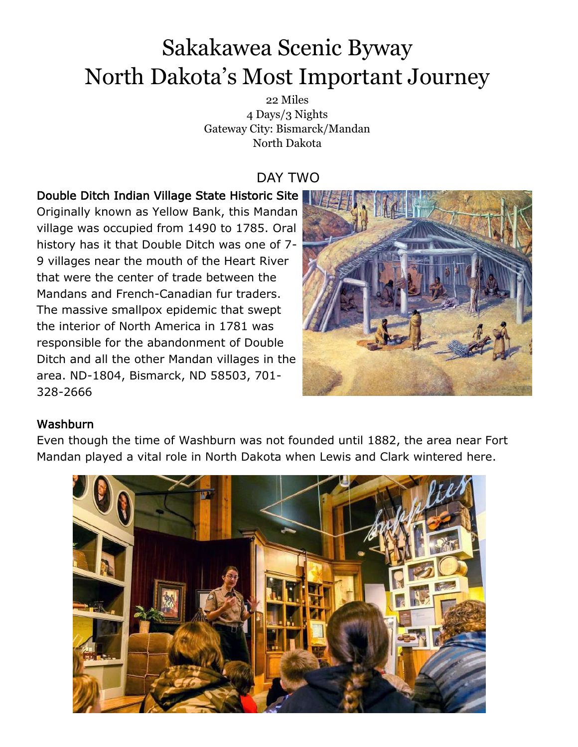22 Miles 4 Days/3 Nights Gateway City: Bismarck/Mandan North Dakota

### DAY TWO

### Double Ditch Indian Village State Historic Site

Originally known as Yellow Bank, this Mandan village was occupied from 1490 to 1785. Oral history has it that Double Ditch was one of 7- 9 villages near the mouth of the Heart River that were the center of trade between the Mandans and French-Canadian fur traders. The massive smallpox epidemic that swept the interior of North America in 1781 was responsible for the abandonment of Double Ditch and all the other Mandan villages in the area. ND-1804, Bismarck, ND 58503, 701- 328-2666



#### Washburn

Even though the time of Washburn was not founded until 1882, the area near Fort Mandan played a vital role in North Dakota when Lewis and Clark wintered here.

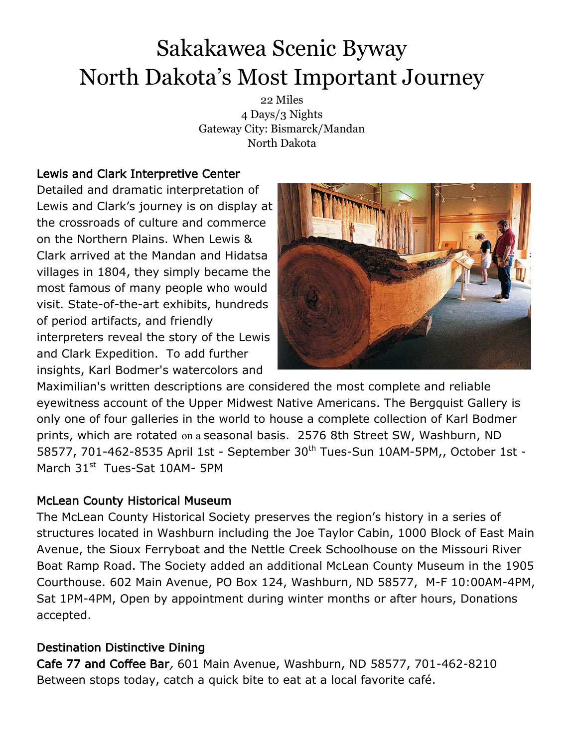22 Miles 4 Days/3 Nights Gateway City: Bismarck/Mandan North Dakota

### Lewis and Clark Interpretive Center

Detailed and dramatic interpretation of Lewis and Clark's journey is on display at the crossroads of culture and commerce on the Northern Plains. When Lewis & Clark arrived at the Mandan and Hidatsa villages in 1804, they simply became the most famous of many people who would visit. State-of-the-art exhibits, hundreds of period artifacts, and friendly interpreters reveal the story of the Lewis and Clark Expedition. To add further insights, Karl Bodmer's watercolors and



Maximilian's written descriptions are considered the most complete and reliable eyewitness account of the Upper Midwest Native Americans. The Bergquist Gallery is only one of four galleries in the world to house a complete collection of Karl Bodmer prints, which are rotated on a seasonal basis. 2576 8th Street SW, Washburn, ND 58577, 701-462-8535 April 1st - September 30<sup>th</sup> Tues-Sun 10AM-5PM,, October 1st -March 31<sup>st</sup> Tues-Sat 10AM- 5PM

#### McLean County Historical Museum

The McLean County Historical Society preserves the region's history in a series of structures located in Washburn including the Joe Taylor Cabin, 1000 Block of East Main Avenue, the Sioux Ferryboat and the Nettle Creek Schoolhouse on the Missouri River Boat Ramp Road. The Society added an additional McLean County Museum in the 1905 Courthouse. 602 Main Avenue, PO Box 124, Washburn, ND 58577, M-F 10:00AM-4PM, Sat 1PM-4PM, Open by appointment during winter months or after hours, Donations accepted.

### Destination Distinctive Dining

Cafe 77 and Coffee Bar, 601 Main Avenue, Washburn, ND 58577, 701-462-8210 Between stops today, catch a quick bite to eat at a local favorite café.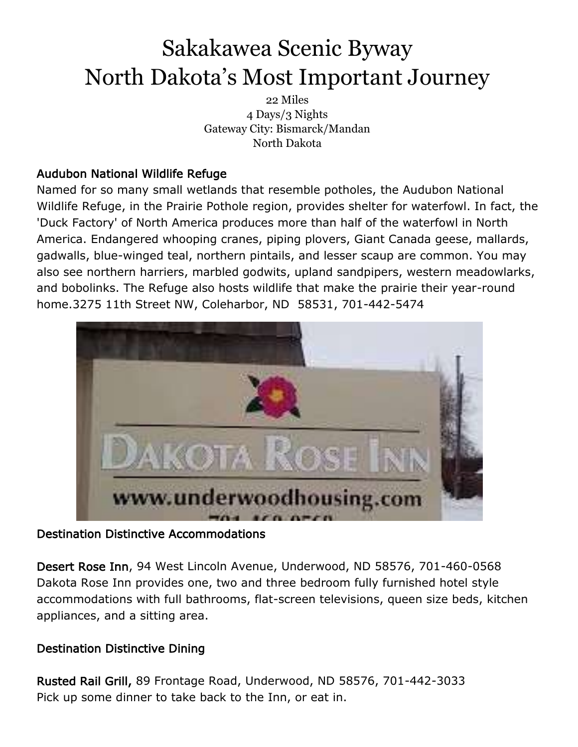22 Miles 4 Days/3 Nights Gateway City: Bismarck/Mandan North Dakota

### Audubon National Wildlife Refuge

Named for so many small wetlands that resemble potholes, the Audubon National Wildlife Refuge, in the Prairie Pothole region, provides shelter for waterfowl. In fact, the 'Duck Factory' of North America produces more than half of the waterfowl in North America. Endangered whooping cranes, piping plovers, Giant Canada geese, mallards, gadwalls, blue-winged teal, northern pintails, and lesser scaup are common. You may also see northern harriers, marbled godwits, upland sandpipers, western meadowlarks, and bobolinks. The Refuge also hosts wildlife that make the prairie their year-round home.3275 11th Street NW, Coleharbor, ND 58531, 701-442-5474



#### Destination Distinctive Accommodations

Desert Rose Inn, 94 West Lincoln Avenue, Underwood, ND 58576, 701-460-0568 Dakota Rose Inn provides one, two and three bedroom fully furnished hotel style accommodations with full bathrooms, flat-screen televisions, queen size beds, kitchen appliances, and a sitting area.

#### Destination Distinctive Dining

Rusted Rail Grill, 89 Frontage Road, Underwood, ND 58576, 701-442-3033 Pick up some dinner to take back to the Inn, or eat in.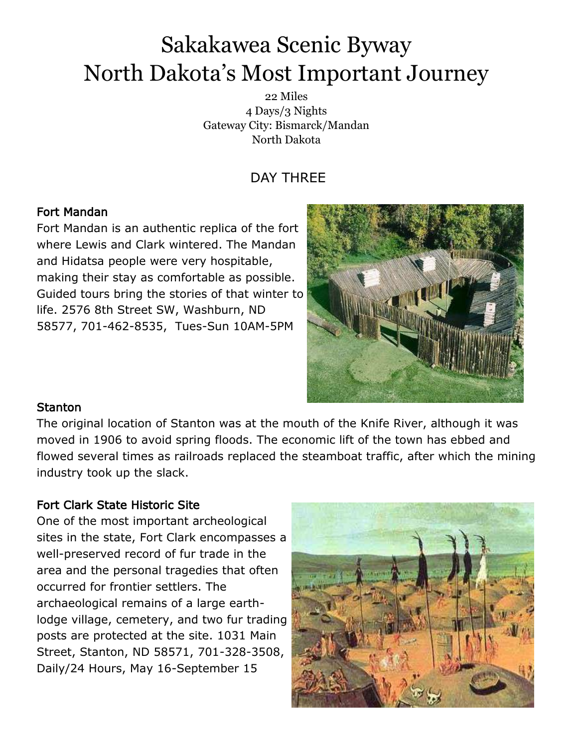22 Miles 4 Days/3 Nights Gateway City: Bismarck/Mandan North Dakota

### DAY THREE

### Fort Mandan

Fort Mandan is an authentic replica of the fort where Lewis and Clark wintered. The Mandan and Hidatsa people were very hospitable, making their stay as comfortable as possible. Guided tours bring the stories of that winter to life. 2576 8th Street SW, Washburn, ND 58577, 701-462-8535, Tues-Sun 10AM-5PM



#### **Stanton**

The original location of Stanton was at the mouth of the Knife River, although it was moved in 1906 to avoid spring floods. The economic lift of the town has ebbed and flowed several times as railroads replaced the steamboat traffic, after which the mining industry took up the slack.

#### Fort Clark State Historic Site

One of the most important archeological sites in the state, Fort Clark encompasses a well-preserved record of fur trade in the area and the personal tragedies that often occurred for frontier settlers. The archaeological remains of a large earthlodge village, cemetery, and two fur trading posts are protected at the site. 1031 Main Street, Stanton, ND 58571, 701-328-3508, Daily/24 Hours, May 16-September 15

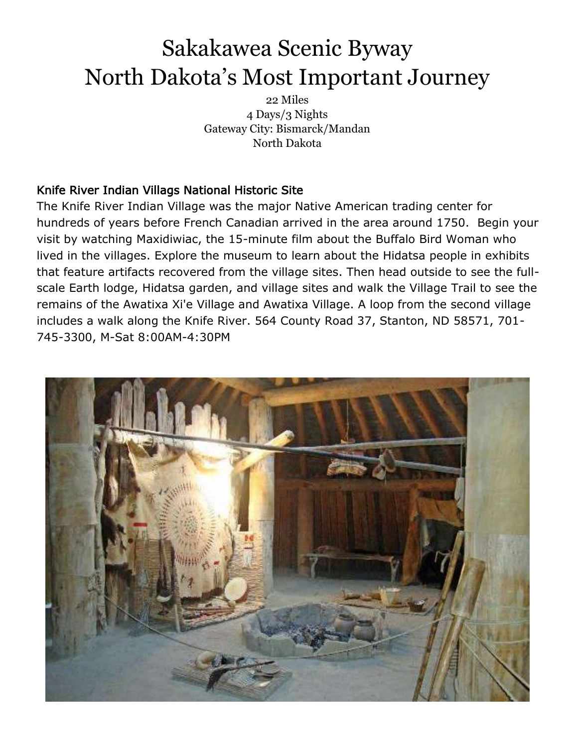22 Miles 4 Days/3 Nights Gateway City: Bismarck/Mandan North Dakota

### Knife River Indian Villags National Historic Site

The Knife River Indian Village was the major Native American trading center for hundreds of years before French Canadian arrived in the area around 1750. Begin your visit by watching Maxidiwiac, the 15-minute film about the Buffalo Bird Woman who lived in the villages. Explore the museum to learn about the Hidatsa people in exhibits that feature artifacts recovered from the village sites. Then head outside to see the fullscale Earth lodge, Hidatsa garden, and village sites and walk the Village Trail to see the remains of the Awatixa Xi'e Village and Awatixa Village. A loop from the second village includes a walk along the Knife River. 564 County Road 37, Stanton, ND 58571, 701- 745-3300, M-Sat 8:00AM-4:30PM

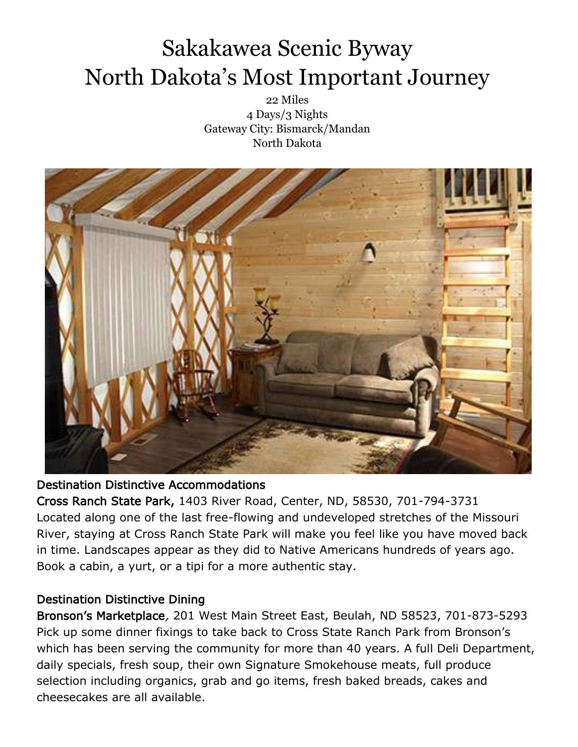22 Miles 4 Days/3 Nights Gateway City: Bismarck/Mandan North Dakota



#### Destination Distinctive Accommodations

Cross Ranch State Park, 1403 River Road, Center, ND, 58530, 701-794-3731 Located along one of the last free-flowing and undeveloped stretches of the Missouri River, staying at Cross Ranch State Park will make you feel like you have moved back in time. Landscapes appear as they did to Native Americans hundreds of years ago. Book a cabin, a yurt, or a tipi for a more authentic stay.

#### Destination Distinctive Dining

Bronson's Marketplace, 201 West Main Street East, Beulah, ND 58523, 701-873-5293 Pick up some dinner fixings to take back to Cross State Ranch Park from Bronson's which has been serving the community for more than 40 years. A full Deli Department, daily specials, fresh soup, their own Signature Smokehouse meats, full produce selection including organics, grab and go items, fresh baked breads, cakes and cheesecakes are all available.